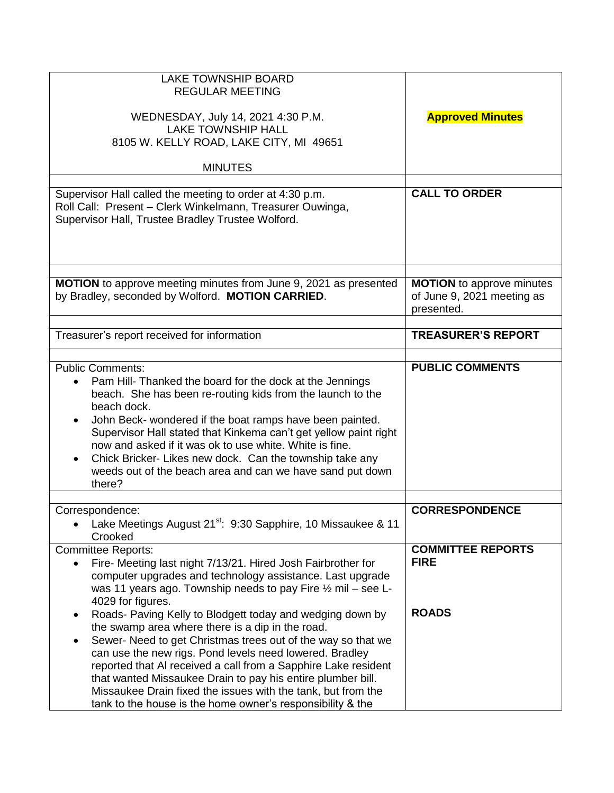| <b>LAKE TOWNSHIP BOARD</b><br><b>REGULAR MEETING</b>                                                                                                                                                                                                                                                                                                                                                                                                                                                       |                                                                              |
|------------------------------------------------------------------------------------------------------------------------------------------------------------------------------------------------------------------------------------------------------------------------------------------------------------------------------------------------------------------------------------------------------------------------------------------------------------------------------------------------------------|------------------------------------------------------------------------------|
| WEDNESDAY, July 14, 2021 4:30 P.M.<br><b>LAKE TOWNSHIP HALL</b><br>8105 W. KELLY ROAD, LAKE CITY, MI 49651                                                                                                                                                                                                                                                                                                                                                                                                 | <b>Approved Minutes</b>                                                      |
| <b>MINUTES</b>                                                                                                                                                                                                                                                                                                                                                                                                                                                                                             |                                                                              |
| Supervisor Hall called the meeting to order at 4:30 p.m.<br>Roll Call: Present - Clerk Winkelmann, Treasurer Ouwinga,<br>Supervisor Hall, Trustee Bradley Trustee Wolford.                                                                                                                                                                                                                                                                                                                                 | <b>CALL TO ORDER</b>                                                         |
| <b>MOTION</b> to approve meeting minutes from June 9, 2021 as presented<br>by Bradley, seconded by Wolford. MOTION CARRIED.                                                                                                                                                                                                                                                                                                                                                                                | <b>MOTION</b> to approve minutes<br>of June 9, 2021 meeting as<br>presented. |
| Treasurer's report received for information                                                                                                                                                                                                                                                                                                                                                                                                                                                                | <b>TREASURER'S REPORT</b>                                                    |
|                                                                                                                                                                                                                                                                                                                                                                                                                                                                                                            |                                                                              |
| <b>Public Comments:</b><br>Pam Hill- Thanked the board for the dock at the Jennings<br>beach. She has been re-routing kids from the launch to the<br>beach dock.<br>John Beck- wondered if the boat ramps have been painted.<br>$\bullet$<br>Supervisor Hall stated that Kinkema can't get yellow paint right<br>now and asked if it was ok to use white. White is fine.<br>Chick Bricker-Likes new dock. Can the township take any<br>weeds out of the beach area and can we have sand put down<br>there? | <b>PUBLIC COMMENTS</b>                                                       |
| Correspondence:                                                                                                                                                                                                                                                                                                                                                                                                                                                                                            | <b>CORRESPONDENCE</b>                                                        |
| Lake Meetings August 21 <sup>st</sup> : 9:30 Sapphire, 10 Missaukee & 11<br>Crooked                                                                                                                                                                                                                                                                                                                                                                                                                        |                                                                              |
| <b>Committee Reports:</b><br>Fire- Meeting last night 7/13/21. Hired Josh Fairbrother for<br>$\bullet$<br>computer upgrades and technology assistance. Last upgrade<br>was 11 years ago. Township needs to pay Fire 1/2 mil - see L-<br>4029 for figures.                                                                                                                                                                                                                                                  | <b>COMMITTEE REPORTS</b><br><b>FIRE</b>                                      |
| Roads- Paving Kelly to Blodgett today and wedging down by<br>the swamp area where there is a dip in the road.<br>Sewer- Need to get Christmas trees out of the way so that we<br>can use the new rigs. Pond levels need lowered. Bradley<br>reported that AI received a call from a Sapphire Lake resident<br>that wanted Missaukee Drain to pay his entire plumber bill.<br>Missaukee Drain fixed the issues with the tank, but from the<br>tank to the house is the home owner's responsibility & the    | <b>ROADS</b>                                                                 |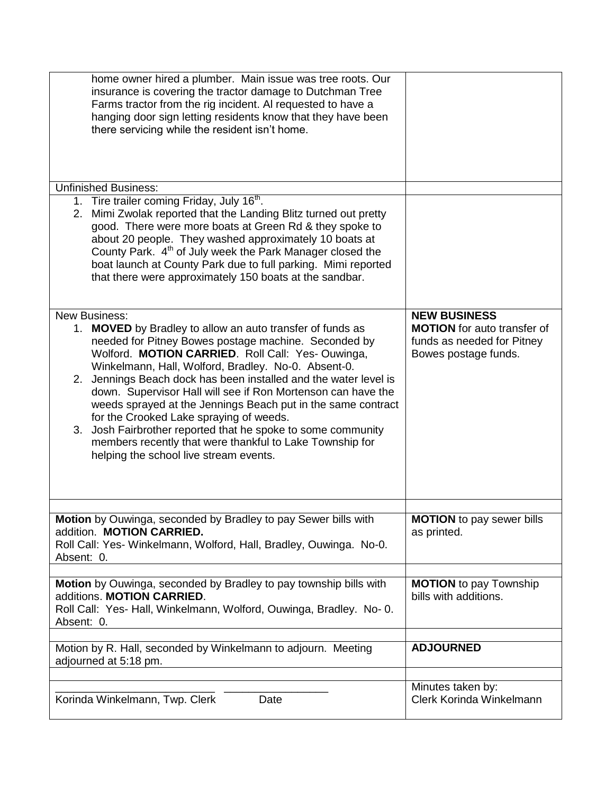| Korinda Winkelmann, Twp. Clerk<br>Date                                                                                                                                                                                                                                                                                                                                                                                                                                                                                                                                                  | Minutes taken by:<br>Clerk Korinda Winkelmann             |
|-----------------------------------------------------------------------------------------------------------------------------------------------------------------------------------------------------------------------------------------------------------------------------------------------------------------------------------------------------------------------------------------------------------------------------------------------------------------------------------------------------------------------------------------------------------------------------------------|-----------------------------------------------------------|
| Motion by R. Hall, seconded by Winkelmann to adjourn. Meeting<br>adjourned at 5:18 pm.                                                                                                                                                                                                                                                                                                                                                                                                                                                                                                  | <b>ADJOURNED</b>                                          |
| Motion by Ouwinga, seconded by Bradley to pay township bills with<br>additions. MOTION CARRIED.<br>Roll Call: Yes- Hall, Winkelmann, Wolford, Ouwinga, Bradley. No- 0.<br>Absent: 0.                                                                                                                                                                                                                                                                                                                                                                                                    | <b>MOTION</b> to pay Township<br>bills with additions.    |
| Motion by Ouwinga, seconded by Bradley to pay Sewer bills with<br>addition. MOTION CARRIED.<br>Roll Call: Yes- Winkelmann, Wolford, Hall, Bradley, Ouwinga. No-0.<br>Absent: 0.                                                                                                                                                                                                                                                                                                                                                                                                         | <b>MOTION</b> to pay sewer bills<br>as printed.           |
| needed for Pitney Bowes postage machine. Seconded by<br>Wolford. MOTION CARRIED. Roll Call: Yes-Ouwinga,<br>Winkelmann, Hall, Wolford, Bradley. No-0. Absent-0.<br>Jennings Beach dock has been installed and the water level is<br>2.<br>down. Supervisor Hall will see if Ron Mortenson can have the<br>weeds sprayed at the Jennings Beach put in the same contract<br>for the Crooked Lake spraying of weeds.<br>3. Josh Fairbrother reported that he spoke to some community<br>members recently that were thankful to Lake Township for<br>helping the school live stream events. | funds as needed for Pitney<br>Bowes postage funds.        |
| County Park. 4 <sup>th</sup> of July week the Park Manager closed the<br>boat launch at County Park due to full parking. Mimi reported<br>that there were approximately 150 boats at the sandbar.<br><b>New Business:</b><br>1. MOVED by Bradley to allow an auto transfer of funds as                                                                                                                                                                                                                                                                                                  | <b>NEW BUSINESS</b><br><b>MOTION</b> for auto transfer of |
| <b>Unfinished Business:</b><br>1. Tire trailer coming Friday, July 16 <sup>th</sup> .<br>Mimi Zwolak reported that the Landing Blitz turned out pretty<br>2.<br>good. There were more boats at Green Rd & they spoke to<br>about 20 people. They washed approximately 10 boats at                                                                                                                                                                                                                                                                                                       |                                                           |
|                                                                                                                                                                                                                                                                                                                                                                                                                                                                                                                                                                                         |                                                           |
| home owner hired a plumber. Main issue was tree roots. Our<br>insurance is covering the tractor damage to Dutchman Tree<br>Farms tractor from the rig incident. Al requested to have a<br>hanging door sign letting residents know that they have been<br>there servicing while the resident isn't home.                                                                                                                                                                                                                                                                                |                                                           |